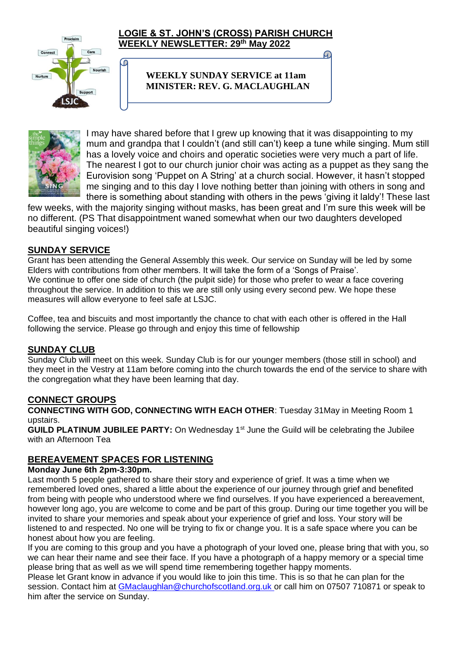

စ

## **LOGIE & ST. JOHN'S (CROSS) PARISH CHURCH WEEKLY NEWSLETTER: 29 th May 2022**

**WEEKLY SUNDAY SERVICE at 11am MINISTER: REV. G. MACLAUGHLAN**



I may have shared before that I grew up knowing that it was disappointing to my mum and grandpa that I couldn't (and still can't) keep a tune while singing. Mum still has a lovely voice and choirs and operatic societies were very much a part of life. The nearest I got to our church junior choir was acting as a puppet as they sang the Eurovision song 'Puppet on A String' at a church social. However, it hasn't stopped me singing and to this day I love nothing better than joining with others in song and there is something about standing with others in the pews 'giving it laldy'! These last

G

few weeks, with the majority singing without masks, has been great and I'm sure this week will be no different. (PS That disappointment waned somewhat when our two daughters developed beautiful singing voices!)

## **SUNDAY SERVICE**

Grant has been attending the General Assembly this week. Our service on Sunday will be led by some Elders with contributions from other members. It will take the form of a 'Songs of Praise'. We continue to offer one side of church (the pulpit side) for those who prefer to wear a face covering throughout the service. In addition to this we are still only using every second pew. We hope these measures will allow everyone to feel safe at LSJC.

Coffee, tea and biscuits and most importantly the chance to chat with each other is offered in the Hall following the service. Please go through and enjoy this time of fellowship

## **SUNDAY CLUB**

Sunday Club will meet on this week. Sunday Club is for our younger members (those still in school) and they meet in the Vestry at 11am before coming into the church towards the end of the service to share with the congregation what they have been learning that day.

## **CONNECT GROUPS**

**CONNECTING WITH GOD, CONNECTING WITH EACH OTHER**: Tuesday 31May in Meeting Room 1 upstairs.

**GUILD PLATINUM JUBILEE PARTY:** On Wednesday 1<sup>st</sup> June the Guild will be celebrating the Jubilee with an Afternoon Tea

## **BEREAVEMENT SPACES FOR LISTENING**

#### **Monday June 6th 2pm-3:30pm.**

Last month 5 people gathered to share their story and experience of grief. It was a time when we remembered loved ones, shared a little about the experience of our journey through grief and benefited from being with people who understood where we find ourselves. If you have experienced a bereavement, however long ago, you are welcome to come and be part of this group. During our time together you will be invited to share your memories and speak about your experience of grief and loss. Your story will be listened to and respected. No one will be trying to fix or change you. It is a safe space where you can be honest about how you are feeling.

If you are coming to this group and you have a photograph of your loved one, please bring that with you, so we can hear their name and see their face. If you have a photograph of a happy memory or a special time please bring that as well as we will spend time remembering together happy moments.

Please let Grant know in advance if you would like to join this time. This is so that he can plan for the session. Contact him at [GMaclaughlan@churchofscotland.org.uk](mailto:GMaclaughlan@churchofscotland.org.uk) or call him on 07507 710871 or speak to him after the service on Sunday.